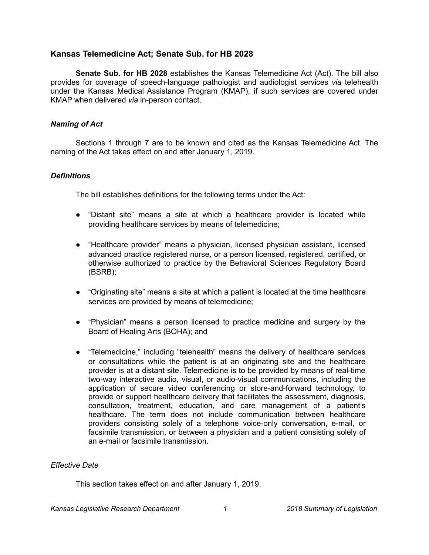# **Kansas Telemedicine Act; Senate Sub. for HB 2028**

**Senate Sub. for HB 2028** establishes the Kansas Telemedicine Act (Act). The bill also provides for coverage of speech-language pathologist and audiologist services *via* telehealth under the Kansas Medical Assistance Program (KMAP), if such services are covered under KMAP when delivered *via* in-person contact.

## *Naming of Act*

Sections 1 through 7 are to be known and cited as the Kansas Telemedicine Act. The naming of the Act takes effect on and after January 1, 2019.

## *Definitions*

The bill establishes definitions for the following terms under the Act:

- "Distant site" means a site at which a healthcare provider is located while providing healthcare services by means of telemedicine;
- "Healthcare provider" means a physician, licensed physician assistant, licensed advanced practice registered nurse, or a person licensed, registered, certified, or otherwise authorized to practice by the Behavioral Sciences Regulatory Board (BSRB);
- "Originating site" means a site at which a patient is located at the time healthcare services are provided by means of telemedicine;
- "Physician" means a person licensed to practice medicine and surgery by the Board of Healing Arts (BOHA); and
- "Telemedicine," including "telehealth" means the delivery of healthcare services or consultations while the patient is at an originating site and the healthcare provider is at a distant site. Telemedicine is to be provided by means of real-time two-way interactive audio, visual, or audio-visual communications, including the application of secure video conferencing or store-and-forward technology, to provide or support healthcare delivery that facilitates the assessment, diagnosis, consultation, treatment, education, and care management of a patient's healthcare. The term does not include communication between healthcare providers consisting solely of a telephone voice-only conversation, e-mail, or facsimile transmission, or between a physician and a patient consisting solely of an e-mail or facsimile transmission.

### *Effective Date*

This section takes effect on and after January 1, 2019.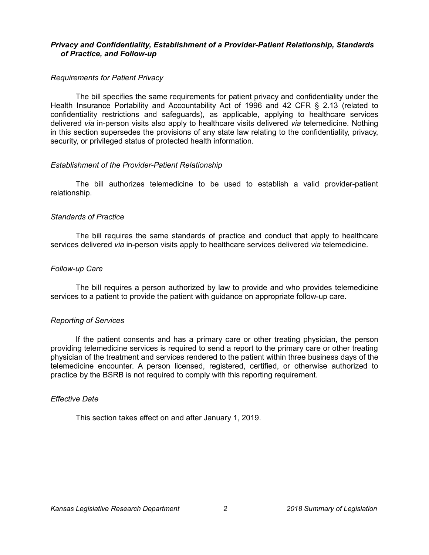### *Privacy and Confidentiality, Establishment of a Provider-Patient Relationship, Standards of Practice, and Follow-up*

## *Requirements for Patient Privacy*

The bill specifies the same requirements for patient privacy and confidentiality under the Health Insurance Portability and Accountability Act of 1996 and 42 CFR § 2.13 (related to confidentiality restrictions and safeguards), as applicable, applying to healthcare services delivered *via* in-person visits also apply to healthcare visits delivered *via* telemedicine. Nothing in this section supersedes the provisions of any state law relating to the confidentiality, privacy, security, or privileged status of protected health information.

### *Establishment of the Provider-Patient Relationship*

The bill authorizes telemedicine to be used to establish a valid provider-patient relationship.

## *Standards of Practice*

The bill requires the same standards of practice and conduct that apply to healthcare services delivered *via* in-person visits apply to healthcare services delivered *via* telemedicine.

### *Follow-up Care*

The bill requires a person authorized by law to provide and who provides telemedicine services to a patient to provide the patient with guidance on appropriate follow-up care.

### *Reporting of Services*

If the patient consents and has a primary care or other treating physician, the person providing telemedicine services is required to send a report to the primary care or other treating physician of the treatment and services rendered to the patient within three business days of the telemedicine encounter. A person licensed, registered, certified, or otherwise authorized to practice by the BSRB is not required to comply with this reporting requirement.

### *Effective Date*

This section takes effect on and after January 1, 2019.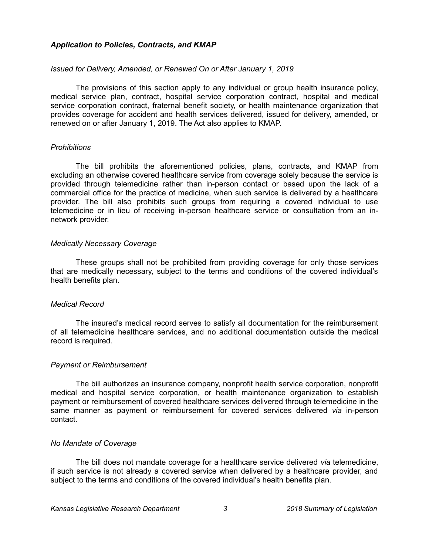## *Application to Policies, Contracts, and KMAP*

### *Issued for Delivery, Amended, or Renewed On or After January 1, 2019*

The provisions of this section apply to any individual or group health insurance policy, medical service plan, contract, hospital service corporation contract, hospital and medical service corporation contract, fraternal benefit society, or health maintenance organization that provides coverage for accident and health services delivered, issued for delivery, amended, or renewed on or after January 1, 2019. The Act also applies to KMAP.

### *Prohibitions*

The bill prohibits the aforementioned policies, plans, contracts, and KMAP from excluding an otherwise covered healthcare service from coverage solely because the service is provided through telemedicine rather than in-person contact or based upon the lack of a commercial office for the practice of medicine, when such service is delivered by a healthcare provider. The bill also prohibits such groups from requiring a covered individual to use telemedicine or in lieu of receiving in-person healthcare service or consultation from an innetwork provider.

## *Medically Necessary Coverage*

These groups shall not be prohibited from providing coverage for only those services that are medically necessary, subject to the terms and conditions of the covered individual's health benefits plan.

### *Medical Record*

The insured's medical record serves to satisfy all documentation for the reimbursement of all telemedicine healthcare services, and no additional documentation outside the medical record is required.

### *Payment or Reimbursement*

The bill authorizes an insurance company, nonprofit health service corporation, nonprofit medical and hospital service corporation, or health maintenance organization to establish payment or reimbursement of covered healthcare services delivered through telemedicine in the same manner as payment or reimbursement for covered services delivered *via* in-person contact.

## *No Mandate of Coverage*

The bill does not mandate coverage for a healthcare service delivered *via* telemedicine, if such service is not already a covered service when delivered by a healthcare provider, and subject to the terms and conditions of the covered individual's health benefits plan.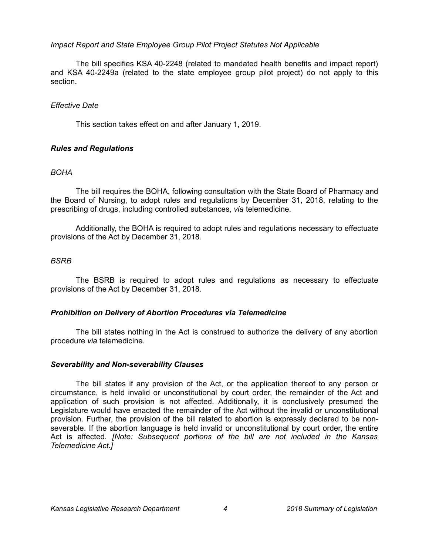## *Impact Report and State Employee Group Pilot Project Statutes Not Applicable*

The bill specifies KSA 40-2248 (related to mandated health benefits and impact report) and KSA 40-2249a (related to the state employee group pilot project) do not apply to this section.

## *Effective Date*

This section takes effect on and after January 1, 2019.

## *Rules and Regulations*

## *BOHA*

The bill requires the BOHA, following consultation with the State Board of Pharmacy and the Board of Nursing, to adopt rules and regulations by December 31, 2018, relating to the prescribing of drugs, including controlled substances, *via* telemedicine.

Additionally, the BOHA is required to adopt rules and regulations necessary to effectuate provisions of the Act by December 31, 2018.

## *BSRB*

The BSRB is required to adopt rules and regulations as necessary to effectuate provisions of the Act by December 31, 2018.

### *Prohibition on Delivery of Abortion Procedures via Telemedicine*

The bill states nothing in the Act is construed to authorize the delivery of any abortion procedure *via* telemedicine.

### *Severability and Non-severability Clauses*

The bill states if any provision of the Act, or the application thereof to any person or circumstance, is held invalid or unconstitutional by court order, the remainder of the Act and application of such provision is not affected. Additionally, it is conclusively presumed the Legislature would have enacted the remainder of the Act without the invalid or unconstitutional provision. Further, the provision of the bill related to abortion is expressly declared to be nonseverable. If the abortion language is held invalid or unconstitutional by court order, the entire Act is affected. *[Note: Subsequent portions of the bill are not included in the Kansas Telemedicine Act.]*